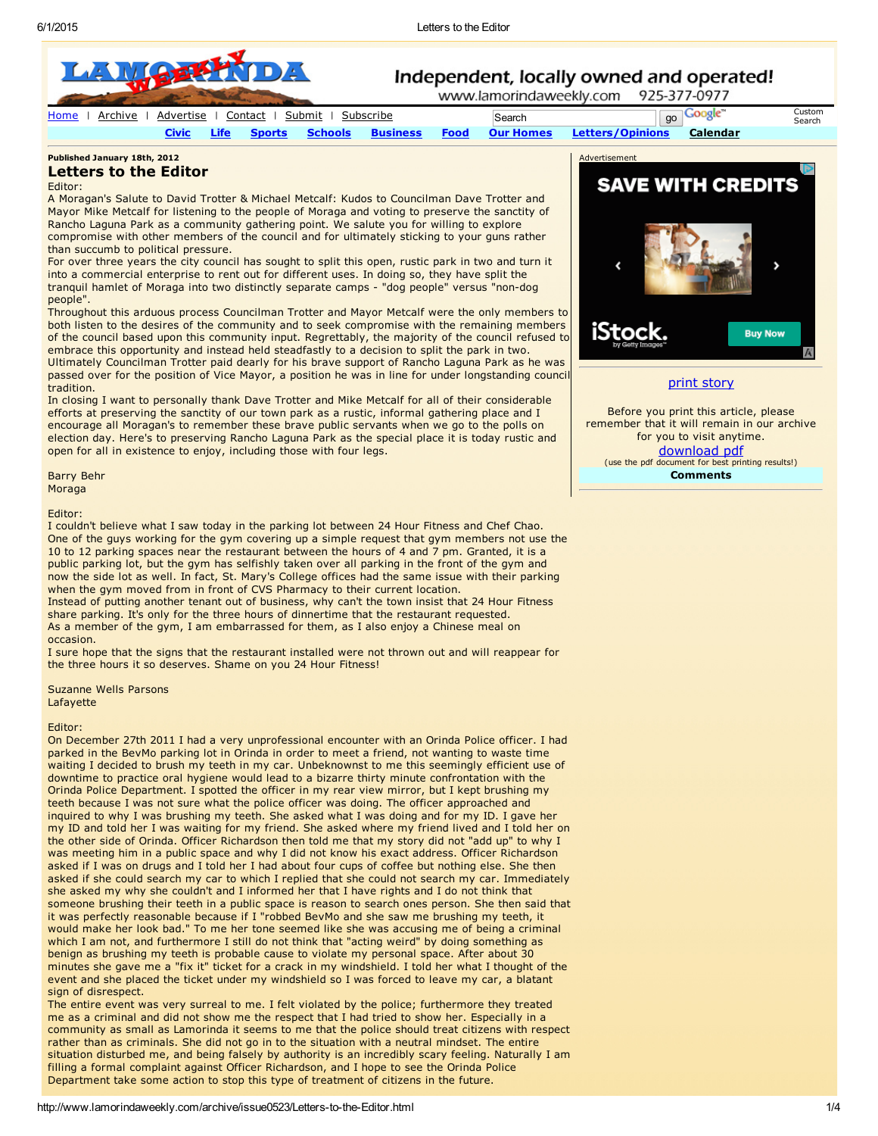

[Home](http://www.lamorindaweekly.com/html2/home.html) | [Archive](http://www.lamorindaweekly.com/html2/archive.html) | [Advertise](http://www.lamorindaweekly.com/html2/place_ads.html) | [Contact](http://www.lamorindaweekly.com/html2/contact.html) | [Submit](http://www.lamorindaweekly.com/html2/submit.html) | [Subscribe](http://www.lamorindaweekly.com/html2/subscribe.html) | Search | Search | Go [Civic](http://www.lamorindaweekly.com/html2/civic.html) [Life](http://www.lamorindaweekly.com/html2/life1.html) [Sports](http://www.lamorindaweekly.com/html2/sports1.html) [Schools](http://www.lamorindaweekly.com/html2/schools1.html) [Business](http://www.lamorindaweekly.com/html2/Business1.html) [Food](http://www.lamorindaweekly.com/html2/food1.html) Our [Homes](http://www.lamorindaweekly.com/html2/OH1.html) [Letters/Opinions](http://www.lamorindaweekly.com/html2/letters1.html) [Calendar](http://www.lamorindaweekly.com/html2/calendar.html)

[Custom](http://www.lamorindaweekly.com/html2/home.html) Search

### Published January 18th, 2012 Letters to the Editor

## Editor:

A Moragan's Salute to David Trotter & Michael Metcalf: Kudos to Councilman Dave Trotter and Mayor Mike Metcalf for listening to the people of Moraga and voting to preserve the sanctity of Rancho Laguna Park as a community gathering point. We salute you for willing to explore compromise with other members of the council and for ultimately sticking to your guns rather than succumb to political pressure.

For over three years the city council has sought to split this open, rustic park in two and turn it into a commercial enterprise to rent out for different uses. In doing so, they have split the tranquil hamlet of Moraga into two distinctly separate camps - "dog people" versus "non-dog people".

Throughout this arduous process Councilman Trotter and Mayor Metcalf were the only members to both listen to the desires of the community and to seek compromise with the remaining members of the council based upon this community input. Regrettably, the majority of the council refused to embrace this opportunity and instead held steadfastly to a decision to split the park in two. Ultimately Councilman Trotter paid dearly for his brave support of Rancho Laguna Park as he was passed over for the position of Vice Mayor, a position he was in line for under longstanding council tradition.

In closing I want to personally thank Dave Trotter and Mike Metcalf for all of their considerable efforts at preserving the sanctity of our town park as a rustic, informal gathering place and I encourage all Moragan's to remember these brave public servants when we go to the polls on election day. Here's to preserving Rancho Laguna Park as the special place it is today rustic and open for all in existence to enjoy, including those with four legs.

Barry Behr Moraga

Editor:

I couldn't believe what I saw today in the parking lot between 24 Hour Fitness and Chef Chao. One of the guys working for the gym covering up a simple request that gym members not use the 10 to 12 parking spaces near the restaurant between the hours of 4 and 7 pm. Granted, it is a public parking lot, but the gym has selfishly taken over all parking in the front of the gym and now the side lot as well. In fact, St. Mary's College offices had the same issue with their parking when the gym moved from in front of CVS Pharmacy to their current location.

Instead of putting another tenant out of business, why can't the town insist that 24 Hour Fitness share parking. It's only for the three hours of dinnertime that the restaurant requested. As a member of the gym, I am embarrassed for them, as I also enjoy a Chinese meal on occasion.

I sure hope that the signs that the restaurant installed were not thrown out and will reappear for the three hours it so deserves. Shame on you 24 Hour Fitness!

Suzanne Wells Parsons

Lafayette

# Editor:

On December 27th 2011 I had a very unprofessional encounter with an Orinda Police officer. I had parked in the BevMo parking lot in Orinda in order to meet a friend, not wanting to waste time waiting I decided to brush my teeth in my car. Unbeknownst to me this seemingly efficient use of downtime to practice oral hygiene would lead to a bizarre thirty minute confrontation with the Orinda Police Department. I spotted the officer in my rear view mirror, but I kept brushing my teeth because I was not sure what the police officer was doing. The officer approached and inquired to why I was brushing my teeth. She asked what I was doing and for my ID. I gave her my ID and told her I was waiting for my friend. She asked where my friend lived and I told her on the other side of Orinda. Officer Richardson then told me that my story did not "add up" to why I was meeting him in a public space and why I did not know his exact address. Officer Richardson asked if I was on drugs and I told her I had about four cups of coffee but nothing else. She then asked if she could search my car to which I replied that she could not search my car. Immediately she asked my why she couldn't and I informed her that I have rights and I do not think that someone brushing their teeth in a public space is reason to search ones person. She then said that it was perfectly reasonable because if I "robbed BevMo and she saw me brushing my teeth, it would make her look bad." To me her tone seemed like she was accusing me of being a criminal which I am not, and furthermore I still do not think that "acting weird" by doing something as benign as brushing my teeth is probable cause to violate my personal space. After about 30 minutes she gave me a "fix it" ticket for a crack in my windshield. I told her what I thought of the event and she placed the ticket under my windshield so I was forced to leave my car, a blatant sign of disrespect.

The entire event was very surreal to me. I felt violated by the police; furthermore they treated me as a criminal and did not show me the respect that I had tried to show her. Especially in a community as small as Lamorinda it seems to me that the police should treat citizens with respect rather than as criminals. She did not go in to the situation with a neutral mindset. The entire situation disturbed me, and being falsely by authority is an incredibly scary feeling. Naturally I am filling a formal complaint against Officer Richardson, and I hope to see the Orinda Police Department take some action to stop this type of treatment of citizens in the future.



print [story](http://www.lamorindaweekly.com/archive/issue0523/print/Letters-to-the-Editor.html)

Before you print this article, please remember that it will remain in our archive for you to visit anytime. [download](http://www.lamorindaweekly.com/archive/issue0523/pdf/Letters-to-the-Editor.pdf) pdf (use the pdf document for best printing results!) **Comments**